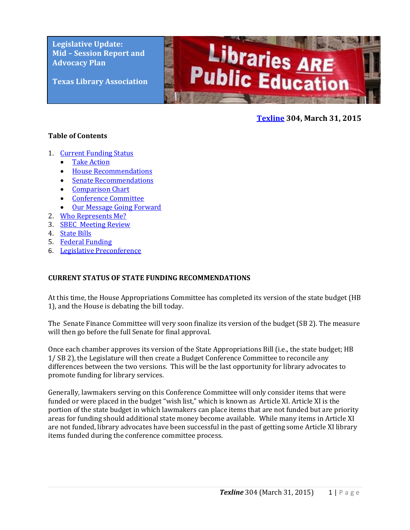**Legislative Update: Mid – Session Report and Advocacy Plan**

**Texas Library Association**



### **[Texline](http://www.txla.org/texline-updates) 304, March 31, 2015**

### <span id="page-0-1"></span>**Table of Contents**

- 1. Current Funding Status
	- [Take Action](#page-0-0)
	- [House Recommendations](#page-1-0)
	- [Senate Recommendations](#page-1-1)
	- [Comparison Chart](#page-2-0)
	- [Conference Committee](#page-2-1)
	- [Our Message Going Forward](#page-2-2)
- 2. Who Represents Me?
- 3. [SBEC Meeting Review](#page-0-1)
- 4. [State Bills](#page-4-0)
- 5. [Federal Funding](#page-5-0)
- 6. [Legislative Preconference](#page-6-0)

### **CURRENT STATUS OF STATE FUNDING RECOMMENDATIONS**

At this time, the House Appropriations Committee has completed its version of the state budget (HB 1), and the House is debating the bill today.

The Senate Finance Committee will very soon finalize its version of the budget (SB 2). The measure will then go before the full Senate for final approval.

Once each chamber approves its version of the State Appropriations Bill (i.e., the state budget; HB 1/ SB 2), the Legislature will then create a Budget Conference Committee to reconcile any differences between the two versions. This will be the last opportunity for library advocates to promote funding for library services.

<span id="page-0-0"></span>Generally, lawmakers serving on this Conference Committee will only consider items that were funded or were placed in the budget "wish list," which is known as Article XI. Article XI is the portion of the state budget in which lawmakers can place items that are not funded but are priority areas for funding should additional state money become available. While many items in Article XI are not funded, library advocates have been successful in the past of getting some Article XI library items funded during the conference committee process.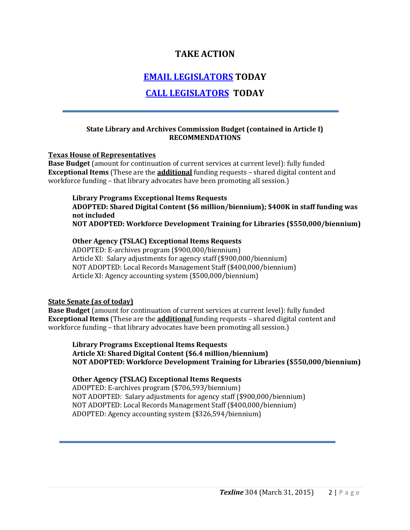## **TAKE ACTION**

## **[EMAIL LEGISLATORS](http://cqrcengage.com/alatx/app/write-a-letter?1&engagementId=88633) TODAY**

# **[CALL LEGISLATORS](http://cqrcengage.com/alatx/app/make-a-call?4&engagementId=88653) TODAY**

### **State Library and Archives Commission Budget (contained in Article I) RECOMMENDATIONS**

#### <span id="page-1-0"></span>**Texas House of Representatives**

**Base Budget** (amount for continuation of current services at current level): fully funded **Exceptional Items** (These are the **additional** funding requests – shared digital content and workforce funding – that library advocates have been promoting all session.)

## **Library Programs Exceptional Items Requests**

**ADOPTED: Shared Digital Content (\$6 million/biennium); \$400K in staff funding was not included**

**NOT ADOPTED: Workforce Development Training for Libraries (\$550,000/biennium)**

### **Other Agency (TSLAC) Exceptional Items Requests**

ADOPTED: E-archives program (\$900,000/biennium) Article XI: Salary adjustments for agency staff (\$900,000/biennium) NOT ADOPTED: Local Records Management Staff (\$400,000/biennium) Article XI: Agency accounting system (\$500,000/biennium)

### <span id="page-1-1"></span>**State Senate (as of today)**

**Base Budget** (amount for continuation of current services at current level): fully funded **Exceptional Items** (These are the **additional** funding requests – shared digital content and workforce funding – that library advocates have been promoting all session.)

**Library Programs Exceptional Items Requests Article XI: Shared Digital Content (\$6.4 million/biennium) NOT ADOPTED: Workforce Development Training for Libraries (\$550,000/biennium)**

### **Other Agency (TSLAC) Exceptional Items Requests**

ADOPTED: E-archives program (\$706,593/biennium) NOT ADOPTED: Salary adjustments for agency staff (\$900,000/biennium) NOT ADOPTED: Local Records Management Staff (\$400,000/biennium) ADOPTED: Agency accounting system (\$326,594/biennium)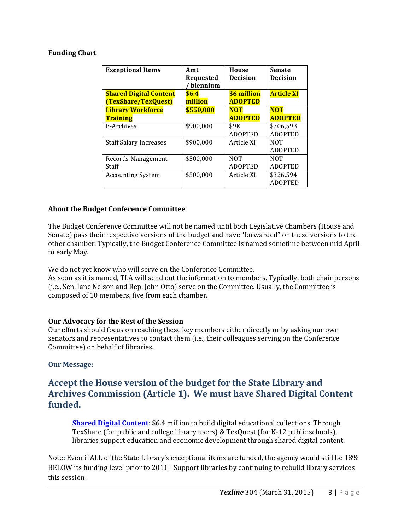### <span id="page-2-0"></span>**Funding Chart**

| <b>Exceptional Items</b>      | Amt<br><b>Requested</b><br>biennium | <b>House</b><br><b>Decision</b> | <b>Senate</b><br><b>Decision</b> |
|-------------------------------|-------------------------------------|---------------------------------|----------------------------------|
| <b>Shared Digital Content</b> | \$6.4                               | \$6 million                     | <b>Article XI</b>                |
| (TexShare/TexQuest)           | million                             | <b>ADOPTED</b>                  |                                  |
| <b>Library Workforce</b>      | \$550,000                           | <b>NOT</b>                      | <b>NOT</b>                       |
| <b>Training</b>               |                                     | <b>ADOPTED</b>                  | <b>ADOPTED</b>                   |
| E-Archives                    | \$900,000                           | \$9K                            | \$706,593                        |
|                               |                                     | <b>ADOPTED</b>                  | <b>ADOPTED</b>                   |
| <b>Staff Salary Increases</b> | \$900,000                           | Article XI                      | <b>NOT</b>                       |
|                               |                                     |                                 | <b>ADOPTED</b>                   |
| Records Management            | \$500,000                           | <b>NOT</b>                      | <b>NOT</b>                       |
| Staff                         |                                     | <b>ADOPTED</b>                  | <b>ADOPTED</b>                   |
| <b>Accounting System</b>      | \$500,000                           | Article XI                      | \$326,594                        |
|                               |                                     |                                 | <b>ADOPTED</b>                   |

### <span id="page-2-1"></span>**About the Budget Conference Committee**

The Budget Conference Committee will not be named until both Legislative Chambers (House and Senate) pass their respective versions of the budget and have "forwarded" on these versions to the other chamber. Typically, the Budget Conference Committee is named sometime between mid April to early May.

We do not yet know who will serve on the Conference Committee.

As soon as it is named, TLA will send out the information to members. Typically, both chair persons (i.e., Sen. Jane Nelson and Rep. John Otto) serve on the Committee. Usually, the Committee is composed of 10 members, five from each chamber.

#### <span id="page-2-2"></span>**Our Advocacy for the Rest of the Session**

Our efforts should focus on reaching these key members either directly or by asking our own senators and representatives to contact them (i.e., their colleagues serving on the Conference Committee) on behalf of libraries.

### **Our Message:**

## **Accept the House version of the budget for the State Library and Archives Commission (Article 1). We must have Shared Digital Content funded.**

**[Shared Digital Content](http://www.txla.org/sites/tla/files/Advocate/shareddigitalcontent%20flyer.pdf)**: \$6.4 million to build digital educational collections. Through TexShare (for public and college library users) & TexQuest (for K-12 public schools), libraries support education and economic development through shared digital content.

Note: Even if ALL of the State Library's exceptional items are funded, the agency would still be 18% BELOW its funding level prior to 2011!! Support libraries by continuing to rebuild library services this session!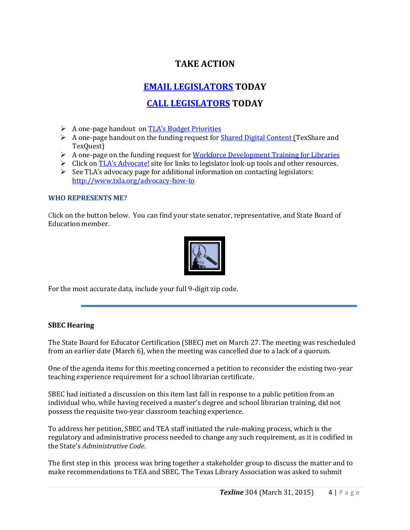# **TAKE ACTION**

## **[EMAIL LEGISLATORS](http://cqrcengage.com/alatx/app/write-a-letter?1&engagementId=88633) TODAY**

# **[CALL LEGISLATORS](http://cqrcengage.com/alatx/app/make-a-call?4&engagementId=88653) TODAY**

- A one-page handout on **[TLA's Budget Priorities](http://www.txla.org/sites/tla/files/Advocate/84th_Library_Budget_Issues.pdf)**
- $\triangleright$  A one-page handout on the funding request for [Shared Digital Content \(T](http://www.txla.org/sites/tla/files/Advocate/shareddigitalcontent%20flyer.pdf)exShare and TexQuest)
- $\triangleright$  A one-page on the funding request for [Workforce Development Training for Libraries](http://www.txla.org/sites/tla/files/Advocate/workforce%20flyer.pdf)
- $\triangleright$  Click on [TLA's Advocate!](http://www.txla.org/take-action) site for links to legislator look-up tools and other resources.
- $\triangleright$  See TLA's advocacy page for additional information on contacting legislators: <http://www.txla.org/advocacy-how-to>

### **WHO REPRESENTS ME?**

Click on the button below. You can find your state senator, representative, and State Board of Education member.



For the most accurate data, include your full 9-digit zip code.

### **SBEC Hearing**

The State Board for Educator Certification (SBEC) met on March 27. The meeting was rescheduled from an earlier date (March 6), when the meeting was cancelled due to a lack of a quorum.

One of the agenda items for this meeting concerned a petition to reconsider the existing two-year teaching experience requirement for a school librarian certificate.

SBEC had initiated a discussion on this item last fall in response to a public petition from an individual who, while having received a master's degree and school librarian training, did not possess the requisite two-year classroom teaching experience.

To address her petition, SBEC and TEA staff initiated the rule-making process, which is the regulatory and administrative process needed to change any such requirement, as it is codified in the State's *Administrative Code*.

The first step in this process was bring together a stakeholder group to discuss the matter and to make recommendations to TEA and SBEC. The Texas Library Association was asked to submit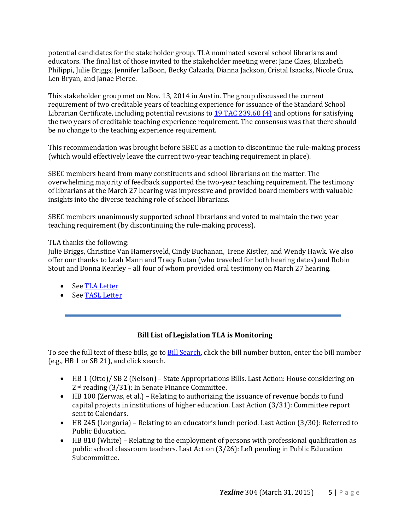potential candidates for the stakeholder group. TLA nominated several school librarians and educators. The final list of those invited to the stakeholder meeting were: Jane Claes, Elizabeth Philippi, Julie Briggs, Jennifer LaBoon, Becky Calzada, Dianna Jackson, Cristal Isaacks, Nicole Cruz, Len Bryan, and Janae Pierce.

This stakeholder group met on Nov. 13, 2014 in Austin. The group discussed the current requirement of two creditable years of teaching experience for issuance of the Standard School Librarian Certificate, including potential revisions to [19 TAC 239.60 \(4\)](http://texreg.sos.state.tx.us/public/readtac$ext.TacPage?sl=R&app=9&p_dir=&p_rloc=&p_tloc=&p_ploc=&pg=1&p_tac=&ti=19&pt=7&ch=239&rl=60) and options for satisfying the two years of creditable teaching experience requirement. The consensus was that there should be no change to the teaching experience requirement.

This recommendation was brought before SBEC as a motion to discontinue the rule-making process (which would effectively leave the current two-year teaching requirement in place).

SBEC members heard from many constituents and school librarians on the matter. The overwhelming majority of feedback supported the two-year teaching requirement. The testimony of librarians at the March 27 hearing was impressive and provided board members with valuable insights into the diverse teaching role of school librarians.

SBEC members unanimously supported school librarians and voted to maintain the two year teaching requirement (by discontinuing the rule-making process).

### TLA thanks the following:

Julie Briggs, Christine Van Hamersveld, Cindy Buchanan, Irene Kistler, and Wendy Hawk. We also offer our thanks to Leah Mann and Tracy Rutan (who traveled for both hearing dates) and Robin Stout and Donna Kearley – all four of whom provided oral testimony on March 27 hearing.

- Se[e TLA Letter](http://www.txla.org/sites/tla/files/Advocate/filings/SBEC%20certification%20letter.pdf)
- <span id="page-4-0"></span>• Se[e TASL Letter](http://www.txla.org/sites/tla/files/Advocate/TASL%20SBECletter%201-8-15.pdf)

### **Bill List of Legislation TLA is Monitoring**

To see the full text of these bills, go to **Bill Search**, click the bill number button, enter the bill number (e.g., HB 1 or SB 21), and click search.

- HB 1 (Otto)/ SB 2 (Nelson) State Appropriations Bills. Last Action: House considering on 2nd reading (3/31); In Senate Finance Committee.
- HB 100 (Zerwas, et al.) Relating to authorizing the issuance of revenue bonds to fund capital projects in institutions of higher education. Last Action (3/31): Committee report sent to Calendars.
- HB 245 (Longoria) Relating to an educator's lunch period. Last Action (3/30): Referred to Public Education.
- HB 810 (White) Relating to the employment of persons with professional qualification as public school classroom teachers. Last Action (3/26): Left pending in Public Education Subcommittee.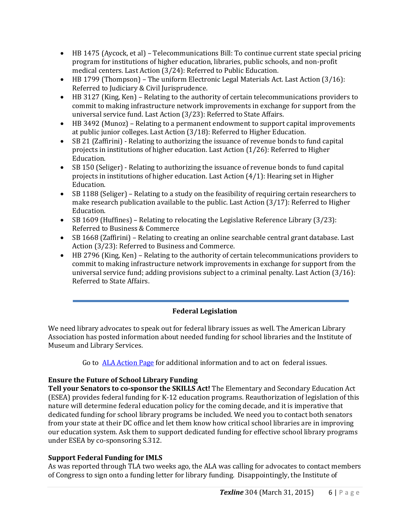- HB 1475 (Aycock, et al) Telecommunications Bill: To continue current state special pricing program for institutions of higher education, libraries, public schools, and non-profit medical centers. Last Action (3/24): Referred to Public Education.
- HB 1799 (Thompson) The uniform Electronic Legal Materials Act. Last Action (3/16): Referred to Judiciary & Civil Jurisprudence.
- HB 3127 (King, Ken) Relating to the authority of certain telecommunications providers to commit to making infrastructure network improvements in exchange for support from the universal service fund. Last Action (3/23): Referred to State Affairs.
- HB 3492 (Munoz) Relating to a permanent endowment to support capital improvements at public junior colleges. Last Action (3/18): Referred to Higher Education.
- SB 21 (Zaffirini) Relating to authorizing the issuance of revenue bonds to fund capital projects in institutions of higher education. Last Action (1/26): Referred to Higher Education.
- SB 150 (Seliger) Relating to authorizing the issuance of revenue bonds to fund capital projects in institutions of higher education. Last Action (4/1): Hearing set in Higher Education.
- SB 1188 (Seliger) Relating to a study on the feasibility of requiring certain researchers to make research publication available to the public. Last Action (3/17): Referred to Higher Education.
- SB 1609 (Huffines) Relating to relocating the Legislative Reference Library (3/23): Referred to Business & Commerce
- SB 1668 (Zaffirini) Relating to creating an online searchable central grant database. Last Action (3/23): Referred to Business and Commerce.
- HB 2796 (King, Ken) Relating to the authority of certain telecommunications providers to commit to making infrastructure network improvements in exchange for support from the universal service fund; adding provisions subject to a criminal penalty. Last Action (3/16): Referred to State Affairs.

## **Federal Legislation**

<span id="page-5-0"></span>We need library advocates to speak out for federal library issues as well. The American Library Association has posted information about needed funding for school libraries and the Institute of Museum and Library Services.

Go to [ALA Action Page](http://cqrcengage.com/ala/home) for additional information and to act on federal issues.

## **Ensure the Future of School Library Funding**

**Tell your Senators to co-sponsor the SKILLS Act!** The Elementary and Secondary Education Act (ESEA) provides federal funding for K-12 education programs. Reauthorization of legislation of this nature will determine federal education policy for the coming decade, and it is imperative that dedicated funding for school library programs be included. We need you to contact both senators from your state at their DC office and let them know how critical school libraries are in improving our education system. Ask them to support dedicated funding for effective school library programs under ESEA by co-sponsoring S.312.

### **Support Federal Funding for IMLS**

As was reported through TLA two weeks ago, the ALA was calling for advocates to contact members of Congress to sign onto a funding letter for library funding. Disappointingly, the Institute of